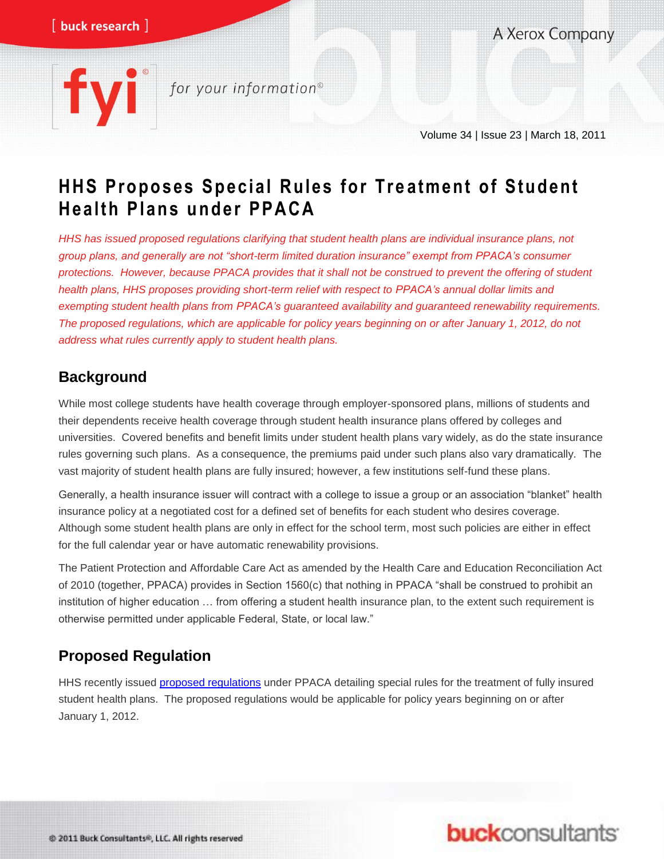A Xerox Company

# for your information®

Volume 34 | Issue 23 | March 18, 2011

# **H H S Proposes Special R ules for Tre atment of Student H ealth Plans u nder PPAC A**

*HHS has issued proposed regulations clarifying that student health plans are individual insurance plans, not group plans, and generally are not "short-term limited duration insurance" exempt from PPACA's consumer protections. However, because PPACA provides that it shall not be construed to prevent the offering of student health plans, HHS proposes providing short-term relief with respect to PPACA's annual dollar limits and exempting student health plans from PPACA's guaranteed availability and guaranteed renewability requirements. The proposed regulations, which are applicable for policy years beginning on or after January 1, 2012, do not address what rules currently apply to student health plans.* 

## **Background**

While most college students have health coverage through employer-sponsored plans, millions of students and their dependents receive health coverage through student health insurance plans offered by colleges and universities. Covered benefits and benefit limits under student health plans vary widely, as do the state insurance rules governing such plans. As a consequence, the premiums paid under such plans also vary dramatically. The vast majority of student health plans are fully insured; however, a few institutions self-fund these plans.

Generally, a health insurance issuer will contract with a college to issue a group or an association "blanket" health insurance policy at a negotiated cost for a defined set of benefits for each student who desires coverage. Although some student health plans are only in effect for the school term, most such policies are either in effect for the full calendar year or have automatic renewability provisions.

The Patient Protection and Affordable Care Act as amended by the Health Care and Education Reconciliation Act of 2010 (together, PPACA) provides in Section 1560(c) that nothing in PPACA "shall be construed to prohibit an institution of higher education … from offering a student health insurance plan, to the extent such requirement is otherwise permitted under applicable Federal, State, or local law."

## **Proposed Regulation**

HHS recently issued [proposed regulations](http://www.gpo.gov/fdsys/pkg/FR-2011-02-11/pdf/2011-3109.pdf) under PPACA detailing special rules for the treatment of fully insured student health plans. The proposed regulations would be applicable for policy years beginning on or after January 1, 2012.

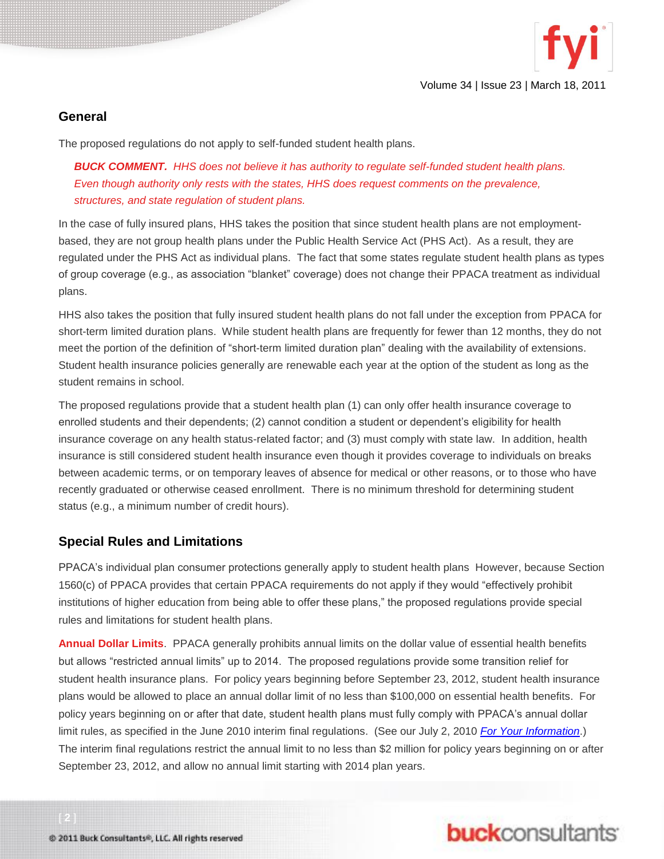

Volume 34 | Issue 23 | March 18, 2011

#### **General**

The proposed regulations do not apply to self-funded student health plans.

*BUCK COMMENT. HHS does not believe it has authority to regulate self-funded student health plans. Even though authority only rests with the states, HHS does request comments on the prevalence, structures, and state regulation of student plans.* 

In the case of fully insured plans, HHS takes the position that since student health plans are not employmentbased, they are not group health plans under the Public Health Service Act (PHS Act). As a result, they are regulated under the PHS Act as individual plans. The fact that some states regulate student health plans as types of group coverage (e.g., as association "blanket" coverage) does not change their PPACA treatment as individual plans.

HHS also takes the position that fully insured student health plans do not fall under the exception from PPACA for short-term limited duration plans. While student health plans are frequently for fewer than 12 months, they do not meet the portion of the definition of "short-term limited duration plan" dealing with the availability of extensions. Student health insurance policies generally are renewable each year at the option of the student as long as the student remains in school.

The proposed regulations provide that a student health plan (1) can only offer health insurance coverage to enrolled students and their dependents; (2) cannot condition a student or dependent's eligibility for health insurance coverage on any health status-related factor; and (3) must comply with state law. In addition, health insurance is still considered student health insurance even though it provides coverage to individuals on breaks between academic terms, or on temporary leaves of absence for medical or other reasons, or to those who have recently graduated or otherwise ceased enrollment. There is no minimum threshold for determining student status (e.g., a minimum number of credit hours).

#### **Special Rules and Limitations**

PPACA's individual plan consumer protections generally apply to student health plans However, because Section 1560(c) of PPACA provides that certain PPACA requirements do not apply if they would "effectively prohibit institutions of higher education from being able to offer these plans," the proposed regulations provide special rules and limitations for student health plans.

**Annual Dollar Limits**. PPACA generally prohibits annual limits on the dollar value of essential health benefits but allows "restricted annual limits" up to 2014. The proposed regulations provide some transition relief for student health insurance plans. For policy years beginning before September 23, 2012, student health insurance plans would be allowed to place an annual dollar limit of no less than \$100,000 on essential health benefits. For policy years beginning on or after that date, student health plans must fully comply with PPACA's annual dollar limit rules, as specified in the June 2010 interim final regulations. (See our July 2, 2010 *[For Your Information](http://www.buckconsultants.com/buckconsultants/portals/0/documents/PUBLICATIONS/Newsletters/FYI/2010/FYI-07-02-10a-More-Health-Reform-Guidance.pdf)*.) The interim final regulations restrict the annual limit to no less than \$2 million for policy years beginning on or after September 23, 2012, and allow no annual limit starting with 2014 plan years.

# **buck**consultants

[ **2** ]